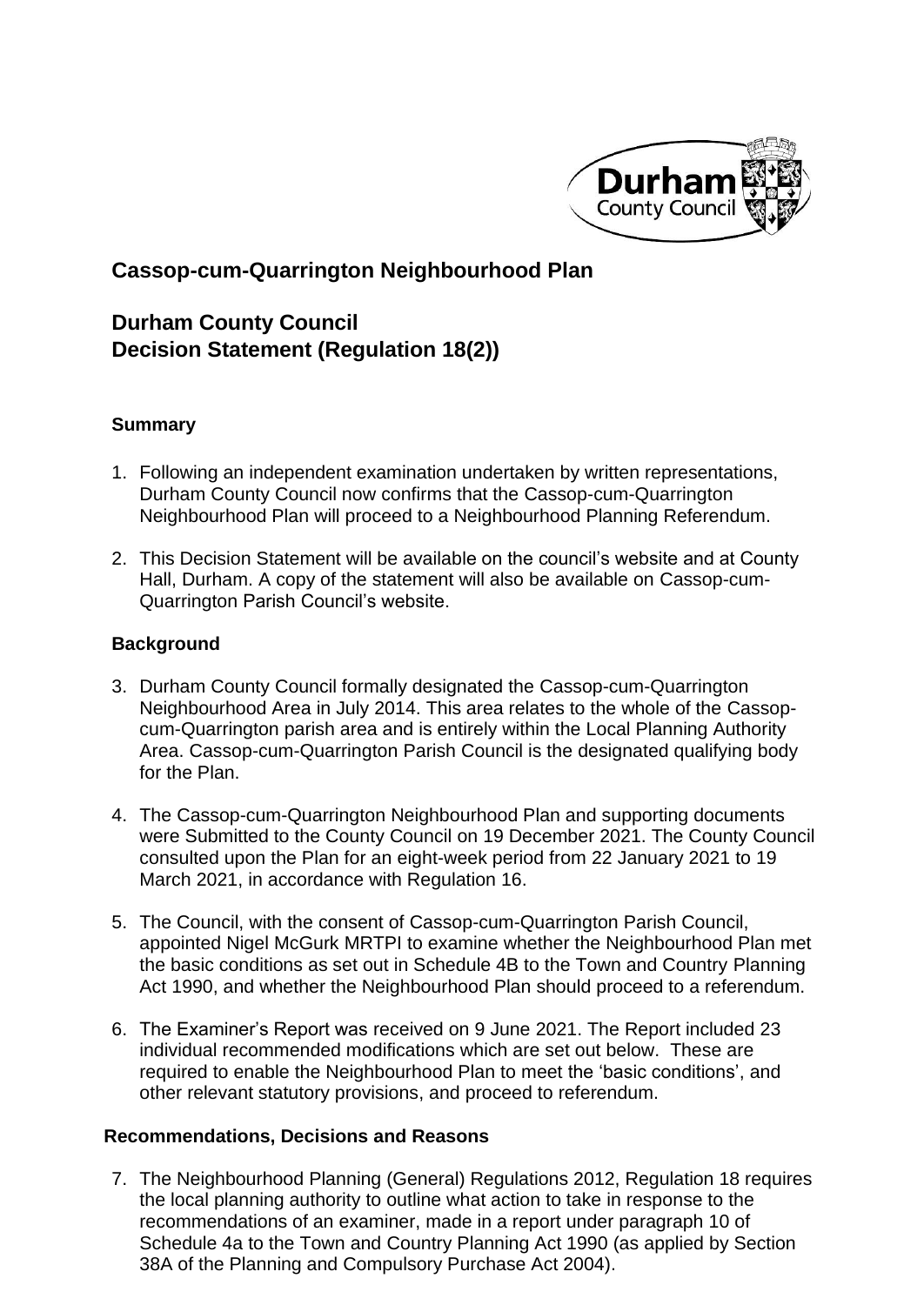

## **Cassop-cum-Quarrington Neighbourhood Plan**

# **Durham County Council Decision Statement (Regulation 18(2))**

### **Summary**

- 1. Following an independent examination undertaken by written representations, Durham County Council now confirms that the Cassop-cum-Quarrington Neighbourhood Plan will proceed to a Neighbourhood Planning Referendum.
- 2. This Decision Statement will be available on the council's website and at County Hall, Durham. A copy of the statement will also be available on Cassop-cum-Quarrington Parish Council's website.

#### **Background**

- 3. Durham County Council formally designated the Cassop-cum-Quarrington Neighbourhood Area in July 2014. This area relates to the whole of the Cassopcum-Quarrington parish area and is entirely within the Local Planning Authority Area. Cassop-cum-Quarrington Parish Council is the designated qualifying body for the Plan.
- 4. The Cassop-cum-Quarrington Neighbourhood Plan and supporting documents were Submitted to the County Council on 19 December 2021. The County Council consulted upon the Plan for an eight-week period from 22 January 2021 to 19 March 2021, in accordance with Regulation 16.
- 5. The Council, with the consent of Cassop-cum-Quarrington Parish Council, appointed Nigel McGurk MRTPI to examine whether the Neighbourhood Plan met the basic conditions as set out in Schedule 4B to the Town and Country Planning Act 1990, and whether the Neighbourhood Plan should proceed to a referendum.
- 6. The Examiner's Report was received on 9 June 2021. The Report included 23 individual recommended modifications which are set out below. These are required to enable the Neighbourhood Plan to meet the 'basic conditions', and other relevant statutory provisions, and proceed to referendum.

#### **Recommendations, Decisions and Reasons**

7. The Neighbourhood Planning (General) Regulations 2012, Regulation 18 requires the local planning authority to outline what action to take in response to the recommendations of an examiner, made in a report under paragraph 10 of Schedule 4a to the Town and Country Planning Act 1990 (as applied by Section 38A of the Planning and Compulsory Purchase Act 2004).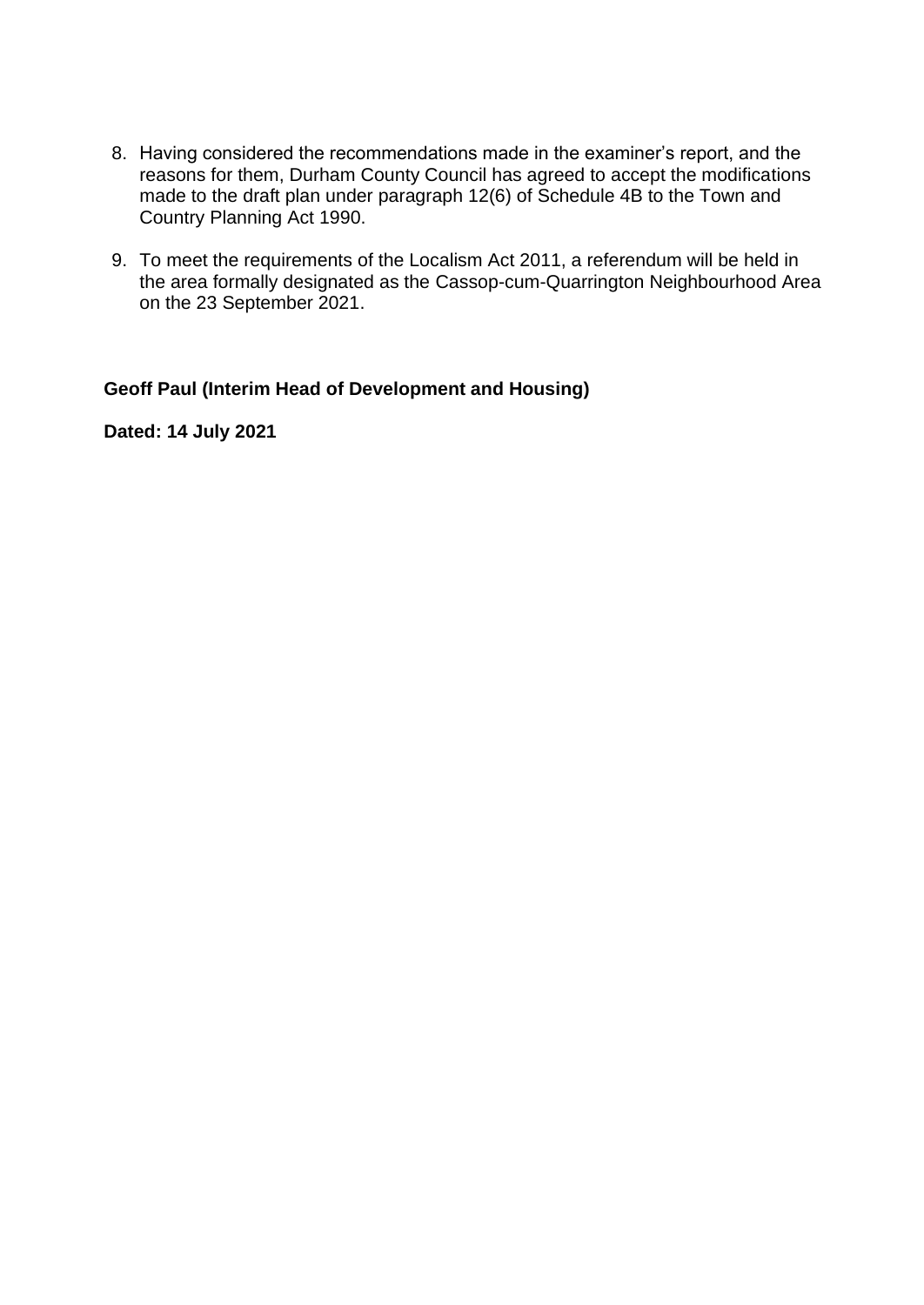- 8. Having considered the recommendations made in the examiner's report, and the reasons for them, Durham County Council has agreed to accept the modifications made to the draft plan under paragraph 12(6) of Schedule 4B to the Town and Country Planning Act 1990.
- 9. To meet the requirements of the Localism Act 2011, a referendum will be held in the area formally designated as the Cassop-cum-Quarrington Neighbourhood Area on the 23 September 2021.

**Geoff Paul (Interim Head of Development and Housing)** 

**Dated: 14 July 2021**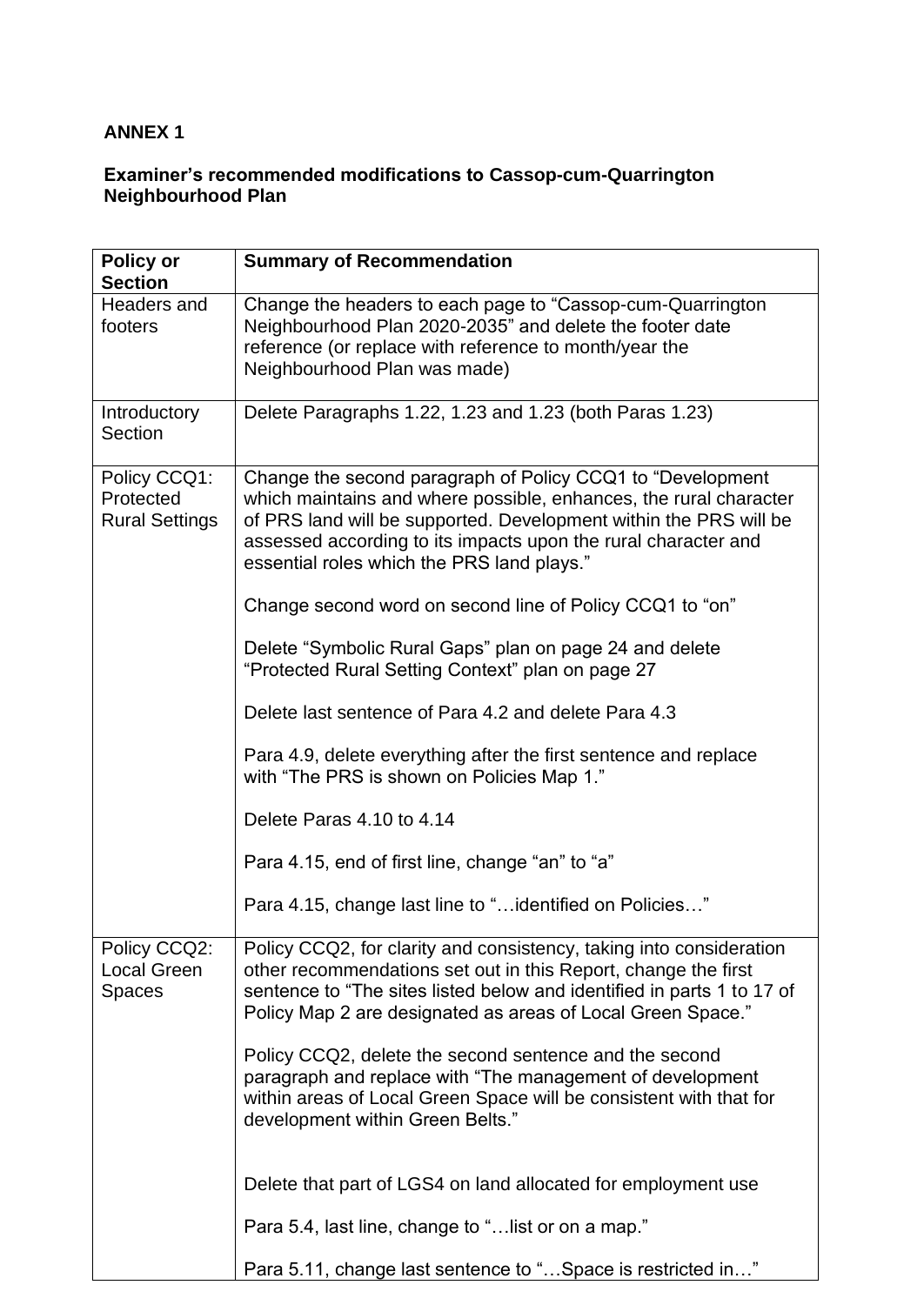### **ANNEX 1**

#### **Examiner's recommended modifications to Cassop-cum-Quarrington Neighbourhood Plan**

| Policy or<br><b>Section</b>                        | <b>Summary of Recommendation</b>                                                                                                                                                                                                                                                                                      |
|----------------------------------------------------|-----------------------------------------------------------------------------------------------------------------------------------------------------------------------------------------------------------------------------------------------------------------------------------------------------------------------|
| Headers and<br>footers                             | Change the headers to each page to "Cassop-cum-Quarrington<br>Neighbourhood Plan 2020-2035" and delete the footer date<br>reference (or replace with reference to month/year the<br>Neighbourhood Plan was made)                                                                                                      |
| Introductory<br>Section                            | Delete Paragraphs 1.22, 1.23 and 1.23 (both Paras 1.23)                                                                                                                                                                                                                                                               |
| Policy CCQ1:<br>Protected<br><b>Rural Settings</b> | Change the second paragraph of Policy CCQ1 to "Development"<br>which maintains and where possible, enhances, the rural character<br>of PRS land will be supported. Development within the PRS will be<br>assessed according to its impacts upon the rural character and<br>essential roles which the PRS land plays." |
|                                                    | Change second word on second line of Policy CCQ1 to "on"                                                                                                                                                                                                                                                              |
|                                                    | Delete "Symbolic Rural Gaps" plan on page 24 and delete<br>"Protected Rural Setting Context" plan on page 27                                                                                                                                                                                                          |
|                                                    | Delete last sentence of Para 4.2 and delete Para 4.3                                                                                                                                                                                                                                                                  |
|                                                    | Para 4.9, delete everything after the first sentence and replace<br>with "The PRS is shown on Policies Map 1."                                                                                                                                                                                                        |
|                                                    | Delete Paras 4.10 to 4.14                                                                                                                                                                                                                                                                                             |
|                                                    | Para 4.15, end of first line, change "an" to "a"                                                                                                                                                                                                                                                                      |
|                                                    | Para 4.15, change last line to " identified on Policies"                                                                                                                                                                                                                                                              |
| Policy CCQ2:<br>Local Green<br><b>Spaces</b>       | Policy CCQ2, for clarity and consistency, taking into consideration<br>other recommendations set out in this Report, change the first<br>sentence to "The sites listed below and identified in parts 1 to 17 of<br>Policy Map 2 are designated as areas of Local Green Space."                                        |
|                                                    | Policy CCQ2, delete the second sentence and the second<br>paragraph and replace with "The management of development<br>within areas of Local Green Space will be consistent with that for<br>development within Green Belts."                                                                                         |
|                                                    | Delete that part of LGS4 on land allocated for employment use                                                                                                                                                                                                                                                         |
|                                                    | Para 5.4, last line, change to " list or on a map."                                                                                                                                                                                                                                                                   |
|                                                    | Para 5.11, change last sentence to "Space is restricted in"                                                                                                                                                                                                                                                           |